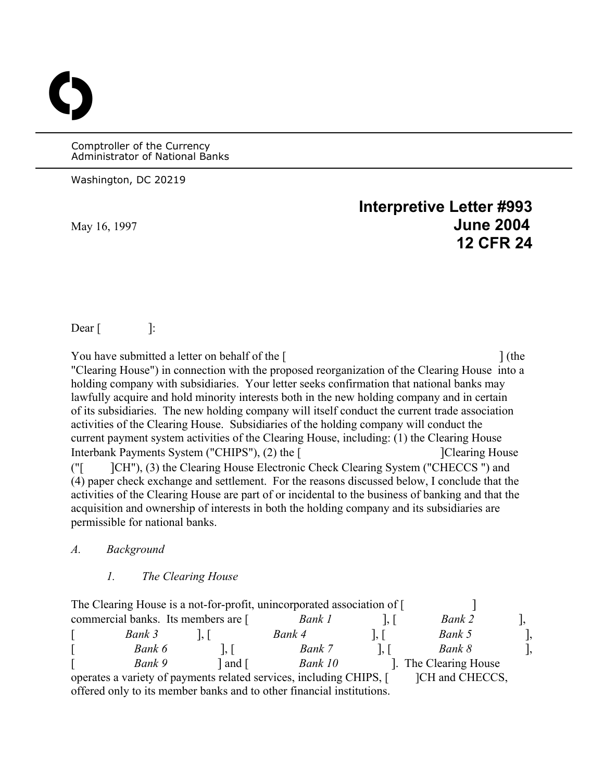Comptroller of the Currency Administrator of National Banks

Washington, DC 20219

O

# **Interpretive Letter #993**  May 16, 1997 **June 2004 12 CFR 24**

 $\text{Dear}$  |:

You have submitted a letter on behalf of the [ ] (the "Clearing House") in connection with the proposed reorganization of the Clearing House into a holding company with subsidiaries. Your letter seeks confirmation that national banks may lawfully acquire and hold minority interests both in the new holding company and in certain of its subsidiaries. The new holding company will itself conduct the current trade association activities of the Clearing House. Subsidiaries of the holding company will conduct the current payment system activities of the Clearing House, including: (1) the Clearing House Interbank Payments System ("CHIPS"), (2) the [ [ [ Clearing House ] [ Clearing House ("[ ]CH"), (3) the Clearing House Electronic Check Clearing System ("CHECCS ") and (4) paper check exchange and settlement. For the reasons discussed below, I conclude that the activities of the Clearing House are part of or incidental to the business of banking and that the acquisition and ownership of interests in both the holding company and its subsidiaries are permissible for national banks.

#### *A. Background*

#### *1. The Clearing House*

| The Clearing House is a not-for-profit, unincorporated association of [ |       |         |  |                    |  |
|-------------------------------------------------------------------------|-------|---------|--|--------------------|--|
| commercial banks. Its members are [                                     |       | Bank 1  |  | Bank 2             |  |
| Bank 3                                                                  |       | Bank 4  |  | Bank 5             |  |
| Bank 6                                                                  |       | Bank 7  |  | Bank 8             |  |
| Bank 9                                                                  | and [ | Bank 10 |  | The Clearing House |  |
| operates a variety of payments related services, including CHIPS, [1]   |       |         |  | ICH and CHECCS,    |  |

offered only to its member banks and to other financial institutions.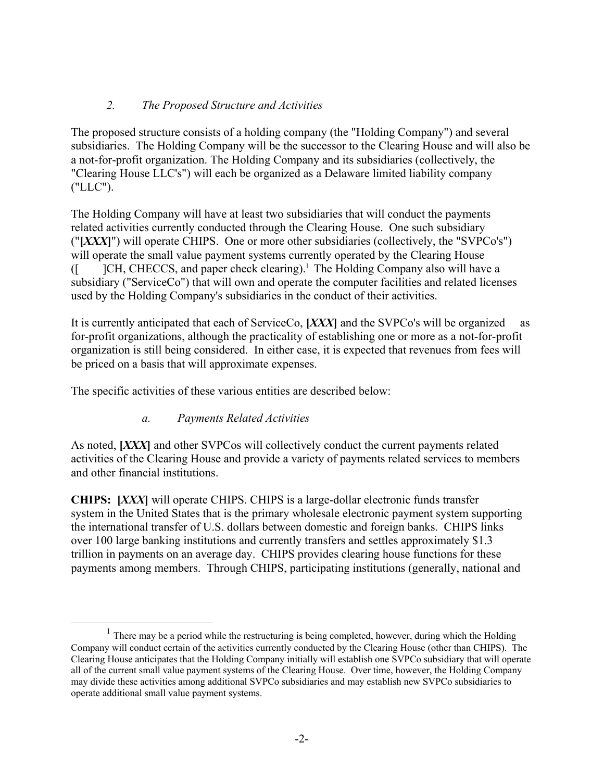## *2. The Proposed Structure and Activities*

The proposed structure consists of a holding company (the "Holding Company") and several subsidiaries. The Holding Company will be the successor to the Clearing House and will also be a not-for-profit organization. The Holding Company and its subsidiaries (collectively, the "Clearing House LLC's") will each be organized as a Delaware limited liability company ("LLC").

The Holding Company will have at least two subsidiaries that will conduct the payments related activities currently conducted through the Clearing House. One such subsidiary ("**[***XXX***]**") will operate CHIPS. One or more other subsidiaries (collectively, the "SVPCo's") will operate the small value payment systems currently operated by the Clearing House ([ ]CH, CHECCS, and paper check clearing)[.1](#page-1-0) The Holding Company also will have a subsidiary ("ServiceCo") that will own and operate the computer facilities and related licenses used by the Holding Company's subsidiaries in the conduct of their activities.

It is currently anticipated that each of ServiceCo, **[***XXX***]** and the SVPCo's will be organized as for-profit organizations, although the practicality of establishing one or more as a not-for-profit organization is still being considered. In either case, it is expected that revenues from fees will be priced on a basis that will approximate expenses.

The specific activities of these various entities are described below:

# *a. Payments Related Activities*

As noted, **[***XXX***]** and other SVPCos will collectively conduct the current payments related activities of the Clearing House and provide a variety of payments related services to members and other financial institutions.

**CHIPS: [***XXX***]** will operate CHIPS. CHIPS is a large-dollar electronic funds transfer system in the United States that is the primary wholesale electronic payment system supporting the international transfer of U.S. dollars between domestic and foreign banks. CHIPS links over 100 large banking institutions and currently transfers and settles approximately \$1.3 trillion in payments on an average day. CHIPS provides clearing house functions for these payments among members. Through CHIPS, participating institutions (generally, national and

<span id="page-1-0"></span> $<sup>1</sup>$  There may be a period while the restructuring is being completed, however, during which the Holding</sup> Company will conduct certain of the activities currently conducted by the Clearing House (other than CHIPS). The Clearing House anticipates that the Holding Company initially will establish one SVPCo subsidiary that will operate all of the current small value payment systems of the Clearing House. Over time, however, the Holding Company may divide these activities among additional SVPCo subsidiaries and may establish new SVPCo subsidiaries to operate additional small value payment systems.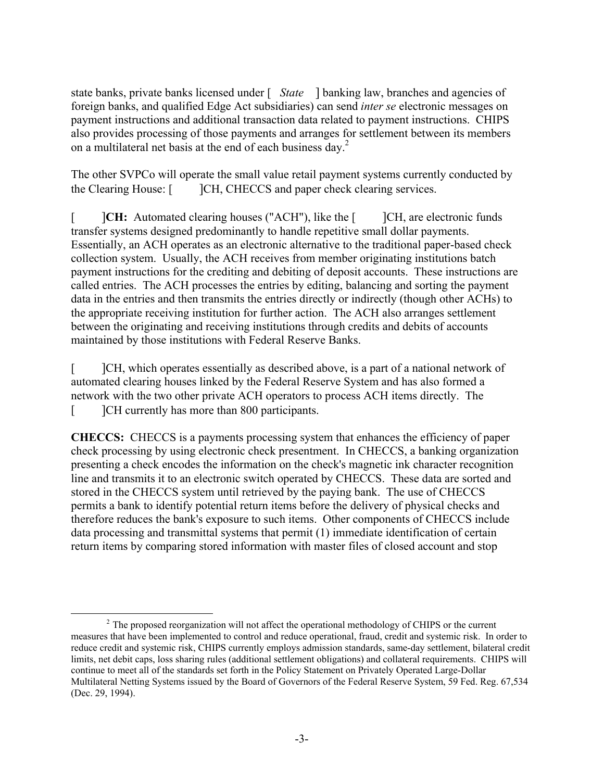state banks, private banks licensed under [ *State* ] banking law, branches and agencies of foreign banks, and qualified Edge Act subsidiaries) can send *inter se* electronic messages on payment instructions and additional transaction data related to payment instructions. CHIPS also provides processing of those payments and arranges for settlement between its members on a multilateral net basis at the end of each business day.<sup>[2](#page-2-0)</sup>

The other SVPCo will operate the small value retail payment systems currently conducted by the Clearing House: [ ]CH, CHECCS and paper check clearing services.

[  $\|CH:$  Automated clearing houses ("ACH"), like the  $\|CH$ , are electronic funds transfer systems designed predominantly to handle repetitive small dollar payments. Essentially, an ACH operates as an electronic alternative to the traditional paper-based check collection system. Usually, the ACH receives from member originating institutions batch payment instructions for the crediting and debiting of deposit accounts. These instructions are called entries. The ACH processes the entries by editing, balancing and sorting the payment data in the entries and then transmits the entries directly or indirectly (though other ACHs) to the appropriate receiving institution for further action. The ACH also arranges settlement between the originating and receiving institutions through credits and debits of accounts maintained by those institutions with Federal Reserve Banks.

[ ]CH, which operates essentially as described above, is a part of a national network of automated clearing houses linked by the Federal Reserve System and has also formed a network with the two other private ACH operators to process ACH items directly. The [  $\Box$  ]CH currently has more than 800 participants.

**CHECCS:** CHECCS is a payments processing system that enhances the efficiency of paper check processing by using electronic check presentment. In CHECCS, a banking organization presenting a check encodes the information on the check's magnetic ink character recognition line and transmits it to an electronic switch operated by CHECCS. These data are sorted and stored in the CHECCS system until retrieved by the paying bank. The use of CHECCS permits a bank to identify potential return items before the delivery of physical checks and therefore reduces the bank's exposure to such items. Other components of CHECCS include data processing and transmittal systems that permit (1) immediate identification of certain return items by comparing stored information with master files of closed account and stop

<span id="page-2-0"></span><sup>&</sup>lt;sup>2</sup> The proposed reorganization will not affect the operational methodology of CHIPS or the current measures that have been implemented to control and reduce operational, fraud, credit and systemic risk. In order to reduce credit and systemic risk, CHIPS currently employs admission standards, same-day settlement, bilateral credit limits, net debit caps, loss sharing rules (additional settlement obligations) and collateral requirements. CHIPS will continue to meet all of the standards set forth in the Policy Statement on Privately Operated Large-Dollar Multilateral Netting Systems issued by the Board of Governors of the Federal Reserve System, 59 Fed. Reg. 67,534 (Dec. 29, 1994).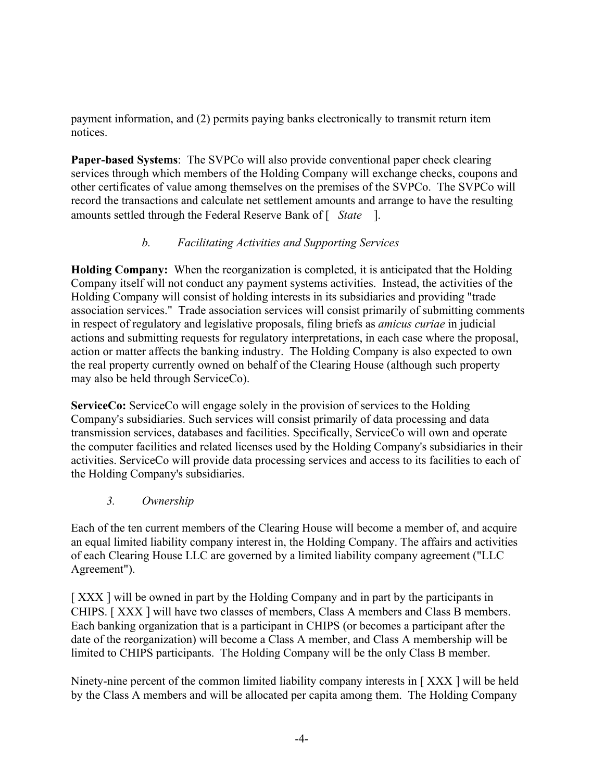payment information, and (2) permits paying banks electronically to transmit return item notices.

**Paper-based Systems**: The SVPCo will also provide conventional paper check clearing services through which members of the Holding Company will exchange checks, coupons and other certificates of value among themselves on the premises of the SVPCo. The SVPCo will record the transactions and calculate net settlement amounts and arrange to have the resulting amounts settled through the Federal Reserve Bank of [ *State* ].

# *b. Facilitating Activities and Supporting Services*

**Holding Company:** When the reorganization is completed, it is anticipated that the Holding Company itself will not conduct any payment systems activities. Instead, the activities of the Holding Company will consist of holding interests in its subsidiaries and providing "trade association services." Trade association services will consist primarily of submitting comments in respect of regulatory and legislative proposals, filing briefs as *amicus curiae* in judicial actions and submitting requests for regulatory interpretations, in each case where the proposal, action or matter affects the banking industry. The Holding Company is also expected to own the real property currently owned on behalf of the Clearing House (although such property may also be held through ServiceCo).

**ServiceCo:** ServiceCo will engage solely in the provision of services to the Holding Company's subsidiaries. Such services will consist primarily of data processing and data transmission services, databases and facilities. Specifically, ServiceCo will own and operate the computer facilities and related licenses used by the Holding Company's subsidiaries in their activities. ServiceCo will provide data processing services and access to its facilities to each of the Holding Company's subsidiaries.

*3. Ownership* 

Each of the ten current members of the Clearing House will become a member of, and acquire an equal limited liability company interest in, the Holding Company. The affairs and activities of each Clearing House LLC are governed by a limited liability company agreement ("LLC Agreement").

[XXX] will be owned in part by the Holding Company and in part by the participants in CHIPS. [ XXX ] will have two classes of members, Class A members and Class B members. Each banking organization that is a participant in CHIPS (or becomes a participant after the date of the reorganization) will become a Class A member, and Class A membership will be limited to CHIPS participants. The Holding Company will be the only Class B member.

Ninety-nine percent of the common limited liability company interests in [ XXX ] will be held by the Class A members and will be allocated per capita among them. The Holding Company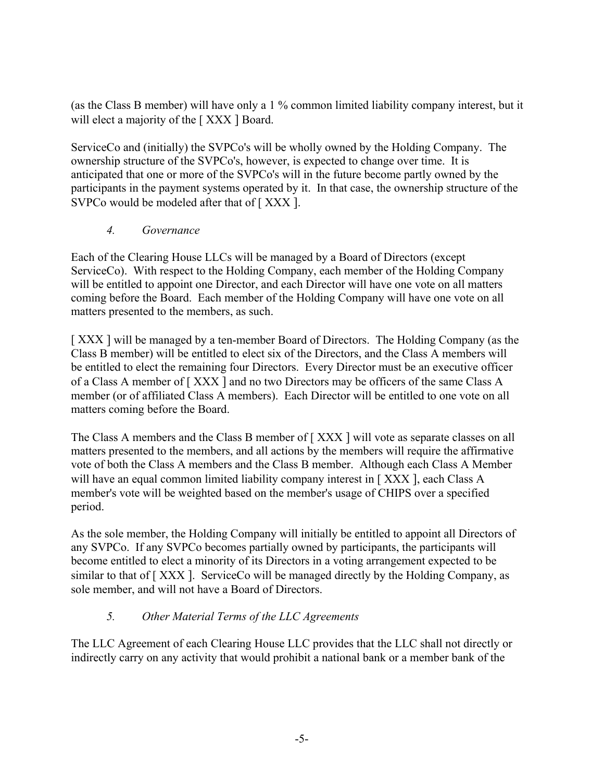(as the Class B member) will have only a 1 % common limited liability company interest, but it will elect a majority of the [XXX ] Board.

ServiceCo and (initially) the SVPCo's will be wholly owned by the Holding Company. The ownership structure of the SVPCo's, however, is expected to change over time. It is anticipated that one or more of the SVPCo's will in the future become partly owned by the participants in the payment systems operated by it. In that case, the ownership structure of the SVPCo would be modeled after that of [XXX ].

# *4. Governance*

Each of the Clearing House LLCs will be managed by a Board of Directors (except ServiceCo). With respect to the Holding Company, each member of the Holding Company will be entitled to appoint one Director, and each Director will have one vote on all matters coming before the Board. Each member of the Holding Company will have one vote on all matters presented to the members, as such.

[XXX] will be managed by a ten-member Board of Directors. The Holding Company (as the Class B member) will be entitled to elect six of the Directors, and the Class A members will be entitled to elect the remaining four Directors. Every Director must be an executive officer of a Class A member of [ XXX ] and no two Directors may be officers of the same Class A member (or of affiliated Class A members). Each Director will be entitled to one vote on all matters coming before the Board.

The Class A members and the Class B member of [ XXX ] will vote as separate classes on all matters presented to the members, and all actions by the members will require the affirmative vote of both the Class A members and the Class B member. Although each Class A Member will have an equal common limited liability company interest in [XXX], each Class A member's vote will be weighted based on the member's usage of CHIPS over a specified period.

As the sole member, the Holding Company will initially be entitled to appoint all Directors of any SVPCo. If any SVPCo becomes partially owned by participants, the participants will become entitled to elect a minority of its Directors in a voting arrangement expected to be similar to that of [XXX]. ServiceCo will be managed directly by the Holding Company, as sole member, and will not have a Board of Directors.

# *5. Other Material Terms of the LLC Agreements*

The LLC Agreement of each Clearing House LLC provides that the LLC shall not directly or indirectly carry on any activity that would prohibit a national bank or a member bank of the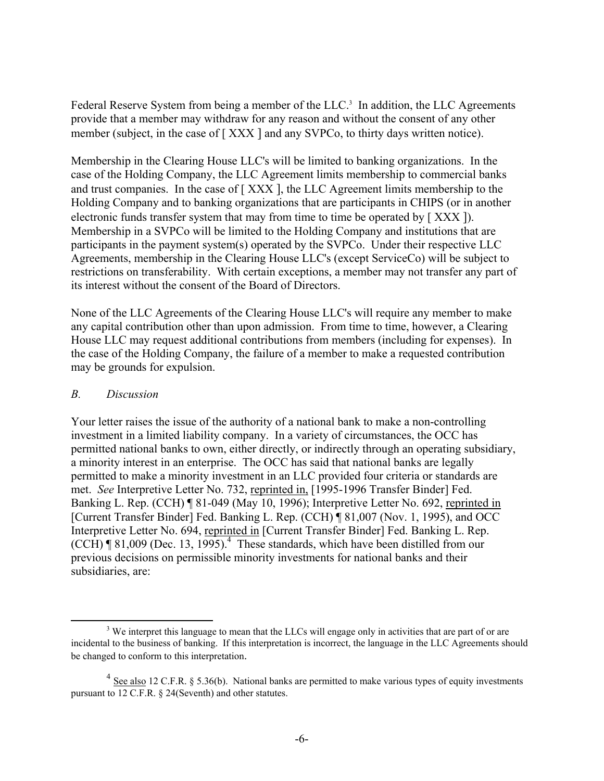Federal Reserve System from being a member of the LLC.<sup>3</sup> In addition, the LLC Agreements provide that a member may withdraw for any reason and without the consent of any other member (subject, in the case of [XXX ] and any SVPCo, to thirty days written notice).

Membership in the Clearing House LLC's will be limited to banking organizations. In the case of the Holding Company, the LLC Agreement limits membership to commercial banks and trust companies. In the case of [ XXX ], the LLC Agreement limits membership to the Holding Company and to banking organizations that are participants in CHIPS (or in another electronic funds transfer system that may from time to time be operated by [ XXX ]). Membership in a SVPCo will be limited to the Holding Company and institutions that are participants in the payment system(s) operated by the SVPCo. Under their respective LLC Agreements, membership in the Clearing House LLC's (except ServiceCo) will be subject to restrictions on transferability. With certain exceptions, a member may not transfer any part of its interest without the consent of the Board of Directors.

None of the LLC Agreements of the Clearing House LLC's will require any member to make any capital contribution other than upon admission. From time to time, however, a Clearing House LLC may request additional contributions from members (including for expenses). In the case of the Holding Company, the failure of a member to make a requested contribution may be grounds for expulsion.

#### *B. Discussion*

Your letter raises the issue of the authority of a national bank to make a non-controlling investment in a limited liability company. In a variety of circumstances, the OCC has permitted national banks to own, either directly, or indirectly through an operating subsidiary, a minority interest in an enterprise. The OCC has said that national banks are legally permitted to make a minority investment in an LLC provided four criteria or standards are met. *See* Interpretive Letter No. 732, reprinted in, [1995-1996 Transfer Binder] Fed. Banking L. Rep. (CCH) ¶ 81-049 (May 10, 1996); Interpretive Letter No. 692, reprinted in [Current Transfer Binder] Fed. Banking L. Rep. (CCH) ¶ 81,007 (Nov. 1, 1995), and OCC Interpretive Letter No. 694, reprinted in [Current Transfer Binder] Fed. Banking L. Rep.  $(CCH)$  ¶ 81,009 (Dec. 13, 1995).<sup>4</sup> These standards, which have been distilled from our previous decisions on permissible minority investments for national banks and their subsidiaries, are:

<span id="page-5-0"></span><sup>&</sup>lt;sup>3</sup> We interpret this language to mean that the LLCs will engage only in activities that are part of or are incidental to the business of banking. If this interpretation is incorrect, the language in the LLC Agreements should be changed to conform to this interpretation.

<span id="page-5-1"></span> $4$  See also 12 C.F.R. § 5.36(b). National banks are permitted to make various types of equity investments pursuant to 12 C.F.R. § 24(Seventh) and other statutes.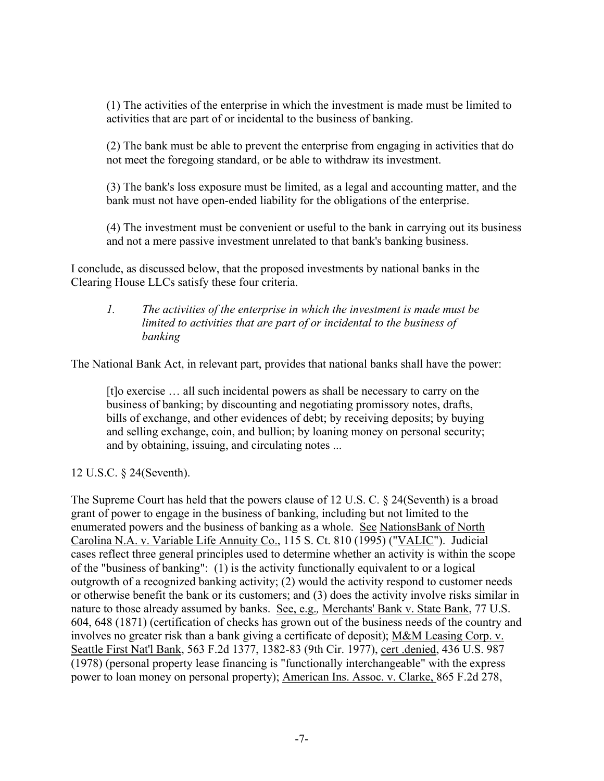(1) The activities of the enterprise in which the investment is made must be limited to activities that are part of or incidental to the business of banking.

(2) The bank must be able to prevent the enterprise from engaging in activities that do not meet the foregoing standard, or be able to withdraw its investment.

(3) The bank's loss exposure must be limited, as a legal and accounting matter, and the bank must not have open-ended liability for the obligations of the enterprise.

(4) The investment must be convenient or useful to the bank in carrying out its business and not a mere passive investment unrelated to that bank's banking business.

I conclude, as discussed below, that the proposed investments by national banks in the Clearing House LLCs satisfy these four criteria.

### *1. The activities of the enterprise in which the investment is made must be limited to activities that are part of or incidental to the business of banking*

The National Bank Act, in relevant part, provides that national banks shall have the power:

[t]o exercise … all such incidental powers as shall be necessary to carry on the business of banking; by discounting and negotiating promissory notes, drafts, bills of exchange, and other evidences of debt; by receiving deposits; by buying and selling exchange, coin, and bullion; by loaning money on personal security; and by obtaining, issuing, and circulating notes ...

12 U.S.C. § 24(Seventh).

The Supreme Court has held that the powers clause of 12 U.S. C. § 24(Seventh) is a broad grant of power to engage in the business of banking, including but not limited to the enumerated powers and the business of banking as a whole. See NationsBank of North Carolina N.A. v. Variable Life Annuity Co., 115 S. Ct. 810 (1995) ("VALIC"). Judicial cases reflect three general principles used to determine whether an activity is within the scope of the "business of banking": (1) is the activity functionally equivalent to or a logical outgrowth of a recognized banking activity; (2) would the activity respond to customer needs or otherwise benefit the bank or its customers; and (3) does the activity involve risks similar in nature to those already assumed by banks. See, e.g.*,* Merchants' Bank v. State Bank, 77 U.S. 604, 648 (1871) (certification of checks has grown out of the business needs of the country and involves no greater risk than a bank giving a certificate of deposit); M&M Leasing Corp. v. Seattle First Nat'l Bank, 563 F.2d 1377, 1382-83 (9th Cir. 1977), cert .denied, 436 U.S. 987 (1978) (personal property lease financing is "functionally interchangeable" with the express power to loan money on personal property); American Ins. Assoc. v. Clarke, 865 F.2d 278,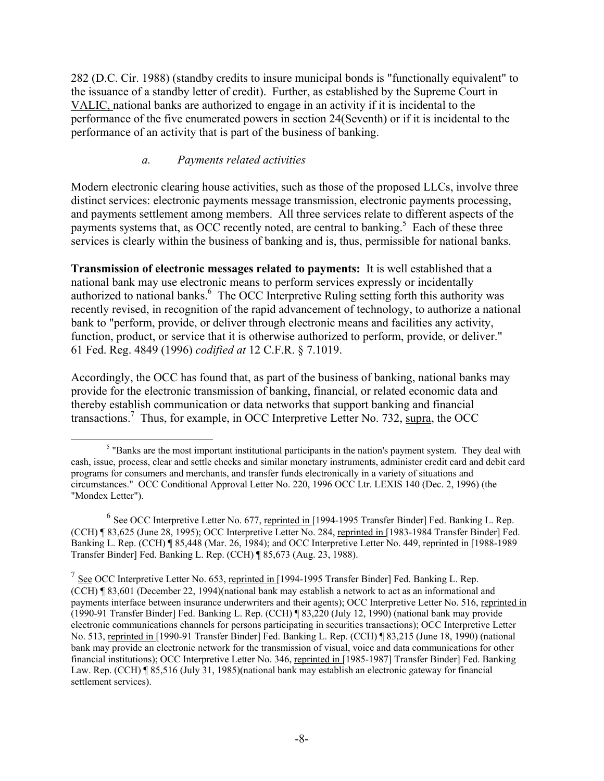282 (D.C. Cir. 1988) (standby credits to insure municipal bonds is "functionally equivalent" to the issuance of a standby letter of credit). Further, as established by the Supreme Court in VALIC, national banks are authorized to engage in an activity if it is incidental to the performance of the five enumerated powers in section 24(Seventh) or if it is incidental to the performance of an activity that is part of the business of banking.

## *a. Payments related activities*

Modern electronic clearing house activities, such as those of the proposed LLCs, involve three distinct services: electronic payments message transmission, electronic payments processing, and payments settlement among members. All three services relate to different aspects of the payments systems that, as OCC recently noted, are central to banking.<sup>5</sup> Each of these three services is clearly within the business of banking and is, thus, permissible for national banks.

**Transmission of electronic messages related to payments:** It is well established that a national bank may use electronic means to perform services expressly or incidentally authorized to national banks.<sup>[6](#page-7-1)</sup> The OCC Interpretive Ruling setting forth this authority was recently revised, in recognition of the rapid advancement of technology, to authorize a national bank to "perform, provide, or deliver through electronic means and facilities any activity, function, product, or service that it is otherwise authorized to perform, provide, or deliver." 61 Fed. Reg. 4849 (1996) *codified at* 12 C.F.R. § 7.1019.

Accordingly, the OCC has found that, as part of the business of banking, national banks may provide for the electronic transmission of banking, financial, or related economic data and thereby establish communication or data networks that support banking and financial transactions.<sup>7</sup> Thus, for example, in OCC Interpretive Letter No. 732, supra, the OCC

<span id="page-7-0"></span> $\frac{1}{5}$ <sup>5</sup> "Banks are the most important institutional participants in the nation's payment system. They deal with cash, issue, process, clear and settle checks and similar monetary instruments, administer credit card and debit card programs for consumers and merchants, and transfer funds electronically in a variety of situations and circumstances." OCC Conditional Approval Letter No. 220, 1996 OCC Ltr. LEXIS 140 (Dec. 2, 1996) (the "Mondex Letter").

<span id="page-7-1"></span><sup>&</sup>lt;sup>6</sup> See OCC Interpretive Letter No. 677, reprinted in [1994-1995 Transfer Binder] Fed. Banking L. Rep. (CCH) ¶ 83,625 (June 28, 1995); OCC Interpretive Letter No. 284, reprinted in [1983-1984 Transfer Binder] Fed. Banking L. Rep. (CCH) ¶ 85,448 (Mar. 26, 1984); and OCC Interpretive Letter No. 449, reprinted in [1988-1989 Transfer Binder] Fed. Banking L. Rep. (CCH) ¶ 85,673 (Aug. 23, 1988).

<span id="page-7-2"></span><sup>&</sup>lt;sup>7</sup> See OCC Interpretive Letter No. 653, reprinted in [1994-1995 Transfer Binder] Fed. Banking L. Rep. (CCH) ¶ 83,601 (December 22, 1994)(national bank may establish a network to act as an informational and payments interface between insurance underwriters and their agents); OCC Interpretive Letter No. 516, reprinted in (1990-91 Transfer Binder] Fed. Banking L. Rep. (CCH) ¶ 83,220 (July 12, 1990) (national bank may provide electronic communications channels for persons participating in securities transactions); OCC Interpretive Letter No. 513, reprinted in [1990-91 Transfer Binder] Fed. Banking L. Rep. (CCH) ¶ 83,215 (June 18, 1990) (national bank may provide an electronic network for the transmission of visual, voice and data communications for other financial institutions); OCC Interpretive Letter No. 346, reprinted in [1985-1987] Transfer Binder] Fed. Banking Law. Rep. (CCH) ¶ 85,516 (July 31, 1985)(national bank may establish an electronic gateway for financial settlement services).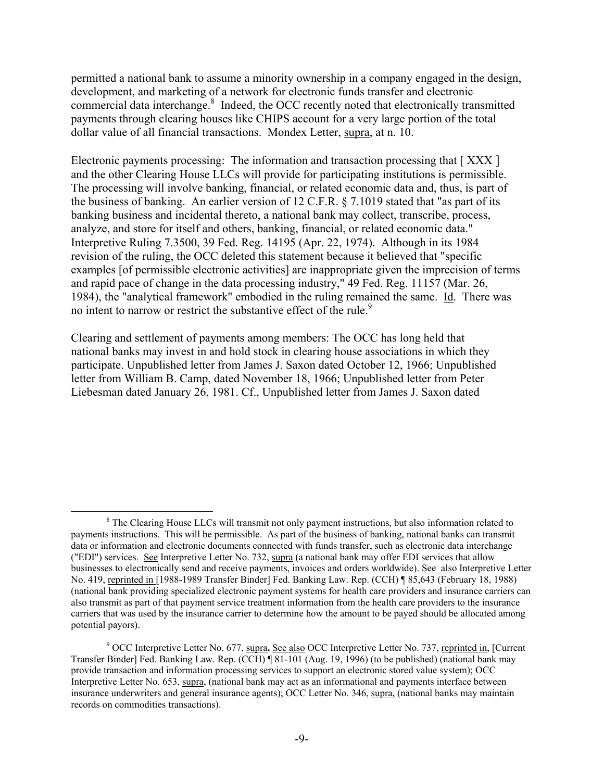permitted a national bank to assume a minority ownership in a company engaged in the design, development, and marketing of a network for electronic funds transfer and electronic commercial data interchange.<sup>[8](#page-8-0)</sup> Indeed, the OCC recently noted that electronically transmitted payments through clearing houses like CHIPS account for a very large portion of the total dollar value of all financial transactions. Mondex Letter, supra, at n. 10.

Electronic payments processing: The information and transaction processing that [XXX] and the other Clearing House LLCs will provide for participating institutions is permissible. The processing will involve banking, financial, or related economic data and, thus, is part of the business of banking. An earlier version of 12 C.F.R. § 7.1019 stated that "as part of its banking business and incidental thereto, a national bank may collect, transcribe, process, analyze, and store for itself and others, banking, financial, or related economic data." Interpretive Ruling 7.3500, 39 Fed. Reg. 14195 (Apr. 22, 1974). Although in its 1984 revision of the ruling, the OCC deleted this statement because it believed that "specific examples [of permissible electronic activities] are inappropriate given the imprecision of terms and rapid pace of change in the data processing industry," 49 Fed. Reg. 11157 (Mar. 26, 1984), the "analytical framework" embodied in the ruling remained the same. Id. There was no intent to narrow or restrict the substantive effect of the rule.<sup>[9](#page-8-1)</sup>

Clearing and settlement of payments among members: The OCC has long held that national banks may invest in and hold stock in clearing house associations in which they participate. Unpublished letter from James J. Saxon dated October 12, 1966; Unpublished letter from William B. Camp, dated November 18, 1966; Unpublished letter from Peter Liebesman dated January 26, 1981. Cf., Unpublished letter from James J. Saxon dated

<span id="page-8-0"></span> $\begin{array}{c|c}\n\hline\n\text{1} & \text{2} & \text{3} \\
\hline\n\text{2} & \text{3} & \text{4}\n\end{array}$ <sup>8</sup> The Clearing House LLCs will transmit not only payment instructions, but also information related to payments instructions. This will be permissible. As part of the business of banking, national banks can transmit data or information and electronic documents connected with funds transfer, such as electronic data interchange ("EDI") services. See Interpretive Letter No. 732, supra (a national bank may offer EDI services that allow businesses to electronically send and receive payments, invoices and orders worldwide). See also Interpretive Letter No. 419, reprinted in [1988-1989 Transfer Binder] Fed. Banking Law. Rep. (CCH) ¶ 85,643 (February 18, 1988) (national bank providing specialized electronic payment systems for health care providers and insurance carriers can also transmit as part of that payment service treatment information from the health care providers to the insurance carriers that was used by the insurance carrier to determine how the amount to be payed should be allocated among potential payors).

<span id="page-8-1"></span><sup>&</sup>lt;sup>9</sup> OCC Interpretive Letter No. 677, supra. See also OCC Interpretive Letter No. 737, reprinted in, [Current Transfer Binder] Fed. Banking Law. Rep. (CCH) ¶ 81-101 (Aug. 19, 1996) (to be published) (national bank may provide transaction and information processing services to support an electronic stored value system); OCC Interpretive Letter No. 653, supra, (national bank may act as an informational and payments interface between insurance underwriters and general insurance agents); OCC Letter No. 346, supra, (national banks may maintain records on commodities transactions).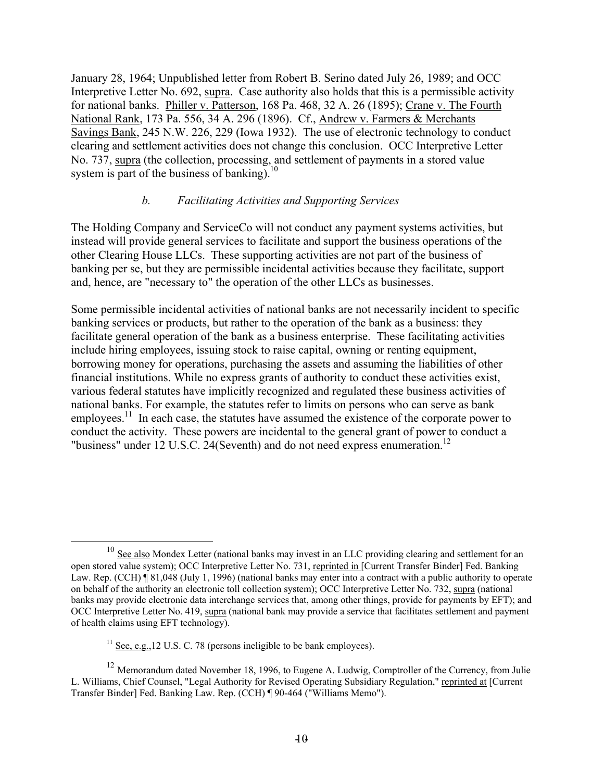January 28, 1964; Unpublished letter from Robert B. Serino dated July 26, 1989; and OCC Interpretive Letter No. 692, supra. Case authority also holds that this is a permissible activity for national banks. Philler v. Patterson, 168 Pa. 468, 32 A. 26 (1895); Crane v. The Fourth National Rank, 173 Pa. 556, 34 A. 296 (1896). Cf., Andrew v. Farmers & Merchants Savings Bank, 245 N.W. 226, 229 (Iowa 1932). The use of electronic technology to conduct clearing and settlement activities does not change this conclusion. OCC Interpretive Letter No. 737, supra (the collection, processing, and settlement of payments in a stored value system is part of the business of banking).<sup>10</sup>

## *b. Facilitating Activities and Supporting Services*

The Holding Company and ServiceCo will not conduct any payment systems activities, but instead will provide general services to facilitate and support the business operations of the other Clearing House LLCs. These supporting activities are not part of the business of banking per se, but they are permissible incidental activities because they facilitate, support and, hence, are "necessary to" the operation of the other LLCs as businesses.

Some permissible incidental activities of national banks are not necessarily incident to specific banking services or products, but rather to the operation of the bank as a business: they facilitate general operation of the bank as a business enterprise. These facilitating activities include hiring employees, issuing stock to raise capital, owning or renting equipment, borrowing money for operations, purchasing the assets and assuming the liabilities of other financial institutions. While no express grants of authority to conduct these activities exist, various federal statutes have implicitly recognized and regulated these business activities of national banks. For example, the statutes refer to limits on persons who can serve as bank employees.<sup>11</sup> In each case, the statutes have assumed the existence of the corporate power to conduct the activity. These powers are incidental to the general grant of power to conduct a "business" under  $12 \text{ U.S.C. } 24$ (Seventh) and do not need express enumeration.<sup>12</sup>

<span id="page-9-0"></span><sup>&</sup>lt;sup>10</sup> See also Mondex Letter (national banks may invest in an LLC providing clearing and settlement for an open stored value system); OCC Interpretive Letter No. 731, reprinted in [Current Transfer Binder] Fed. Banking Law. Rep. (CCH) ¶ 81,048 (July 1, 1996) (national banks may enter into a contract with a public authority to operate on behalf of the authority an electronic toll collection system); OCC Interpretive Letter No. 732, supra (national banks may provide electronic data interchange services that, among other things, provide for payments by EFT); and OCC Interpretive Letter No. 419, supra (national bank may provide a service that facilitates settlement and payment of health claims using EFT technology).

<span id="page-9-2"></span><span id="page-9-1"></span><sup>&</sup>lt;sup>11</sup> See, e.g., 12 U.S. C. 78 (persons ineligible to be bank employees).

<sup>&</sup>lt;sup>12</sup> Memorandum dated November 18, 1996, to Eugene A. Ludwig, Comptroller of the Currency, from Julie L. Williams, Chief Counsel, "Legal Authority for Revised Operating Subsidiary Regulation," reprinted at [Current Transfer Binder] Fed. Banking Law. Rep. (CCH) ¶ 90-464 ("Williams Memo").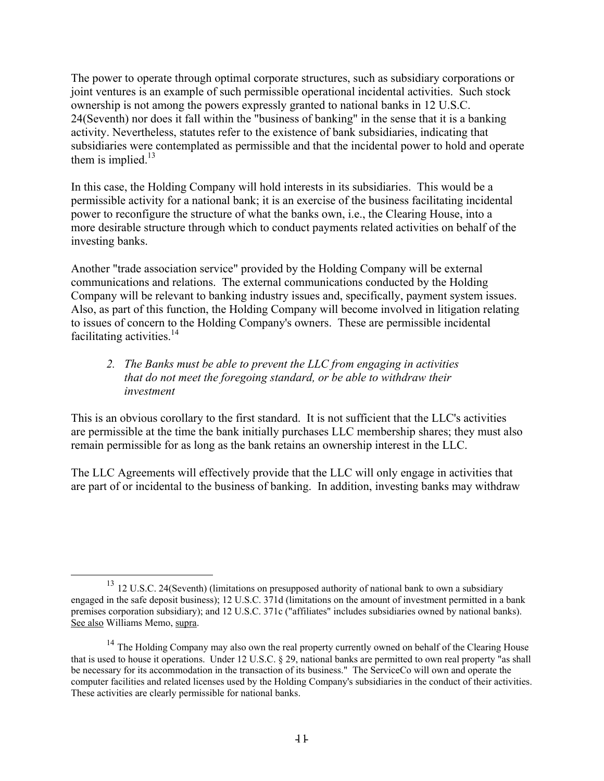The power to operate through optimal corporate structures, such as subsidiary corporations or joint ventures is an example of such permissible operational incidental activities. Such stock ownership is not among the powers expressly granted to national banks in 12 U.S.C. 24(Seventh) nor does it fall within the "business of banking" in the sense that it is a banking activity. Nevertheless, statutes refer to the existence of bank subsidiaries, indicating that subsidiaries were contemplated as permissible and that the incidental power to hold and operate them is implied. $13$ 

In this case, the Holding Company will hold interests in its subsidiaries. This would be a permissible activity for a national bank; it is an exercise of the business facilitating incidental power to reconfigure the structure of what the banks own, i.e., the Clearing House, into a more desirable structure through which to conduct payments related activities on behalf of the investing banks.

Another "trade association service" provided by the Holding Company will be external communications and relations. The external communications conducted by the Holding Company will be relevant to banking industry issues and, specifically, payment system issues. Also, as part of this function, the Holding Company will become involved in litigation relating to issues of concern to the Holding Company's owners. These are permissible incidental facilitating activities. $14$ 

## *2. The Banks must be able to prevent the LLC from engaging in activities that do not meet the foregoing standard, or be able to withdraw their investment*

This is an obvious corollary to the first standard. It is not sufficient that the LLC's activities are permissible at the time the bank initially purchases LLC membership shares; they must also remain permissible for as long as the bank retains an ownership interest in the LLC.

The LLC Agreements will effectively provide that the LLC will only engage in activities that are part of or incidental to the business of banking. In addition, investing banks may withdraw

<span id="page-10-0"></span><sup>&</sup>lt;sup>13</sup> 12 U.S.C. 24(Seventh) (limitations on presupposed authority of national bank to own a subsidiary engaged in the safe deposit business); 12 U.S.C. 371d (limitations on the amount of investment permitted in a bank premises corporation subsidiary); and 12 U.S.C. 371c ("affiliates" includes subsidiaries owned by national banks). See also Williams Memo, supra.

<span id="page-10-1"></span><sup>&</sup>lt;sup>14</sup> The Holding Company may also own the real property currently owned on behalf of the Clearing House that is used to house it operations. Under 12 U.S.C. § 29, national banks are permitted to own real property "as shall be necessary for its accommodation in the transaction of its business." The ServiceCo will own and operate the computer facilities and related licenses used by the Holding Company's subsidiaries in the conduct of their activities. These activities are clearly permissible for national banks.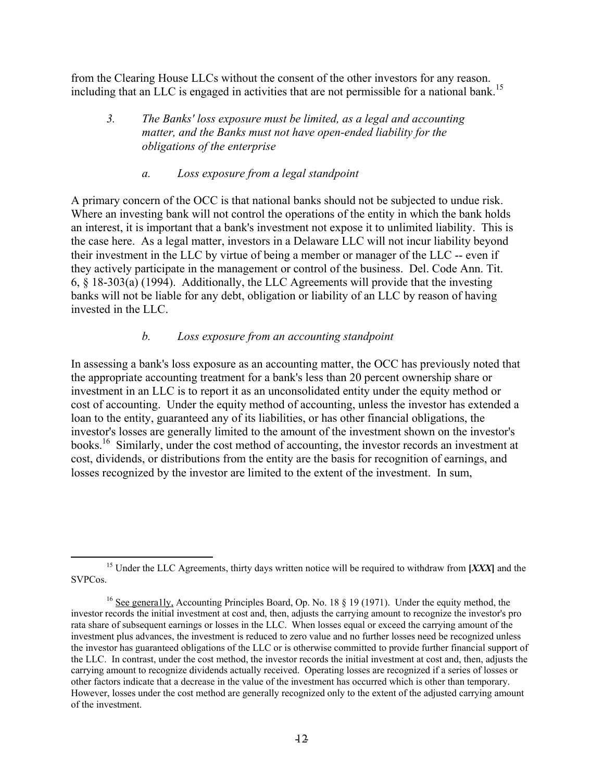from the Clearing House LLCs without the consent of the other investors for any reason. including that an LLC is engaged in activities that are not permissible for a national bank.<sup>[15](#page-11-0)</sup>

*3. The Banks' loss exposure must be limited, as a legal and accounting matter, and the Banks must not have open-ended liability for the obligations of the enterprise* 

#### *a. Loss exposure from a legal standpoint*

A primary concern of the OCC is that national banks should not be subjected to undue risk. Where an investing bank will not control the operations of the entity in which the bank holds an interest, it is important that a bank's investment not expose it to unlimited liability. This is the case here. As a legal matter, investors in a Delaware LLC will not incur liability beyond their investment in the LLC by virtue of being a member or manager of the LLC -- even if they actively participate in the management or control of the business. Del. Code Ann. Tit. 6, § 18-303(a) (1994). Additionally, the LLC Agreements will provide that the investing banks will not be liable for any debt, obligation or liability of an LLC by reason of having invested in the LLC.

## *b. Loss exposure from an accounting standpoint*

In assessing a bank's loss exposure as an accounting matter, the OCC has previously noted that the appropriate accounting treatment for a bank's less than 20 percent ownership share or investment in an LLC is to report it as an unconsolidated entity under the equity method or cost of accounting. Under the equity method of accounting, unless the investor has extended a loan to the entity, guaranteed any of its liabilities, or has other financial obligations, the investor's losses are generally limited to the amount of the investment shown on the investor's books.<sup>16</sup> Similarly, under the cost method of accounting, the investor records an investment at cost, dividends, or distributions from the entity are the basis for recognition of earnings, and losses recognized by the investor are limited to the extent of the investment. In sum,

<span id="page-11-0"></span><sup>&</sup>lt;sup>15</sup> Under the LLC Agreements, thirty days written notice will be required to withdraw from [*XXX*] and the SVPCos.

<span id="page-11-1"></span><sup>&</sup>lt;sup>16</sup> See generally, Accounting Principles Board, Op. No. 18  $\S$  19 (1971). Under the equity method, the investor records the initial investment at cost and, then, adjusts the carrying amount to recognize the investor's pro rata share of subsequent earnings or losses in the LLC. When losses equal or exceed the carrying amount of the investment plus advances, the investment is reduced to zero value and no further losses need be recognized unless the investor has guaranteed obligations of the LLC or is otherwise committed to provide further financial support of the LLC. In contrast, under the cost method, the investor records the initial investment at cost and, then, adjusts the carrying amount to recognize dividends actually received. Operating losses are recognized if a series of losses or other factors indicate that a decrease in the value of the investment has occurred which is other than temporary. However, losses under the cost method are generally recognized only to the extent of the adjusted carrying amount of the investment.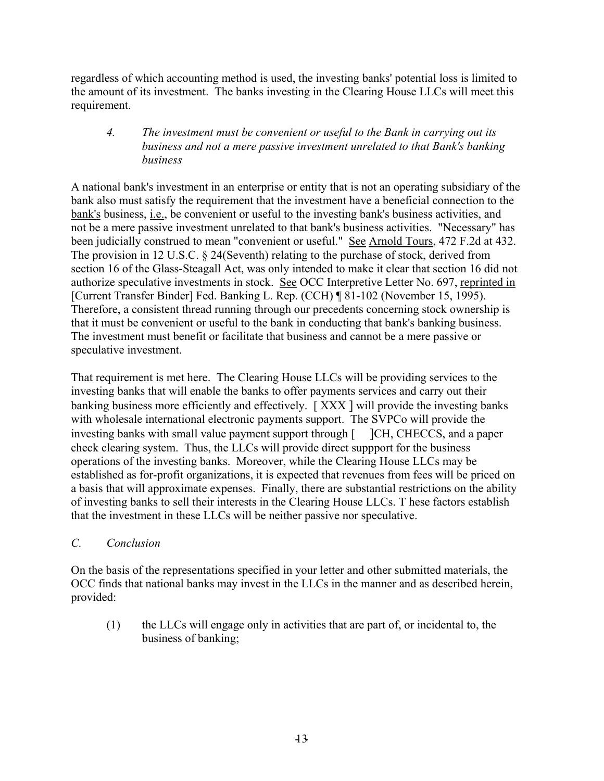regardless of which accounting method is used, the investing banks' potential loss is limited to the amount of its investment. The banks investing in the Clearing House LLCs will meet this requirement.

## *4. The investment must be convenient or useful to the Bank in carrying out its business and not a mere passive investment unrelated to that Bank's banking business*

A national bank's investment in an enterprise or entity that is not an operating subsidiary of the bank also must satisfy the requirement that the investment have a beneficial connection to the bank's business, i.e., be convenient or useful to the investing bank's business activities, and not be a mere passive investment unrelated to that bank's business activities. "Necessary" has been judicially construed to mean "convenient or useful." See Arnold Tours, 472 F.2d at 432. The provision in 12 U.S.C. § 24(Seventh) relating to the purchase of stock, derived from section 16 of the Glass-Steagall Act, was only intended to make it clear that section 16 did not authorize speculative investments in stock. See OCC Interpretive Letter No. 697, reprinted in [Current Transfer Binder] Fed. Banking L. Rep. (CCH) ¶ 81-102 (November 15, 1995). Therefore, a consistent thread running through our precedents concerning stock ownership is that it must be convenient or useful to the bank in conducting that bank's banking business. The investment must benefit or facilitate that business and cannot be a mere passive or speculative investment.

That requirement is met here. The Clearing House LLCs will be providing services to the investing banks that will enable the banks to offer payments services and carry out their banking business more efficiently and effectively. [ XXX ] will provide the investing banks with wholesale international electronic payments support. The SVPCo will provide the investing banks with small value payment support through [ ]CH, CHECCS, and a paper check clearing system. Thus, the LLCs will provide direct suppport for the business operations of the investing banks. Moreover, while the Clearing House LLCs may be established as for-profit organizations, it is expected that revenues from fees will be priced on a basis that will approximate expenses. Finally, there are substantial restrictions on the ability of investing banks to sell their interests in the Clearing House LLCs. T hese factors establish that the investment in these LLCs will be neither passive nor speculative.

# *C. Conclusion*

On the basis of the representations specified in your letter and other submitted materials, the OCC finds that national banks may invest in the LLCs in the manner and as described herein, provided:

(1) the LLCs will engage only in activities that are part of, or incidental to, the business of banking;